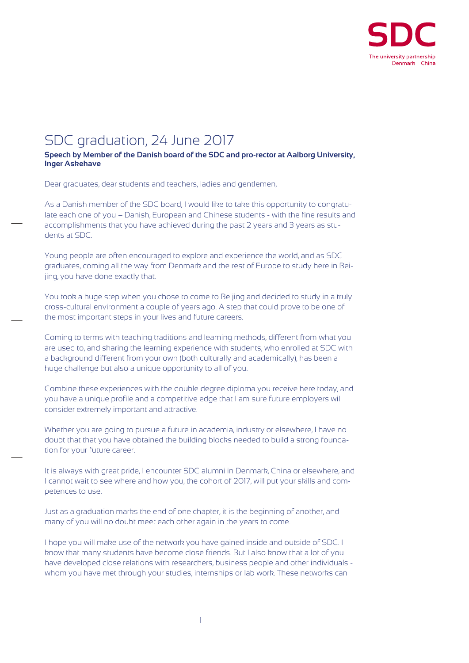

## SDC graduation, 24 June 2017

**Speech by Member of the Danish board of the SDC and pro-rector at Aalborg University, Inger Askehave**

Dear graduates, dear students and teachers, ladies and gentlemen,

As a Danish member of the SDC board, I would like to take this opportunity to congratulate each one of you – Danish, European and Chinese students - with the fine results and accomplishments that you have achieved during the past 2 years and 3 years as students at SDC.

Young people are often encouraged to explore and experience the world, and as SDC graduates, coming all the way from Denmark and the rest of Europe to study here in Beijing, you have done exactly that.

You took a huge step when you chose to come to Beijing and decided to study in a truly cross-cultural environment a couple of years ago. A step that could prove to be one of the most important steps in your lives and future careers.

Coming to terms with teaching traditions and learning methods, different from what you are used to, and sharing the learning experience with students, who enrolled at SDC with a background different from your own (both culturally and academically), has been a huge challenge but also a unique opportunity to all of you.

Combine these experiences with the double degree diploma you receive here today, and you have a unique profile and a competitive edge that I am sure future employers will consider extremely important and attractive.

Whether you are going to pursue a future in academia, industry or elsewhere, I have no doubt that that you have obtained the building blocks needed to build a strong foundation for your future career.

It is always with great pride, I encounter SDC alumni in Denmark, China or elsewhere, and I cannot wait to see where and how you, the cohort of 2017, will put your skills and competences to use.

Just as a graduation marks the end of one chapter, it is the beginning of another, and many of you will no doubt meet each other again in the years to come.

I hope you will make use of the network you have gained inside and outside of SDC. I know that many students have become close friends. But I also know that a lot of you have developed close relations with researchers, business people and other individuals whom you have met through your studies, internships or lab work. These networks can